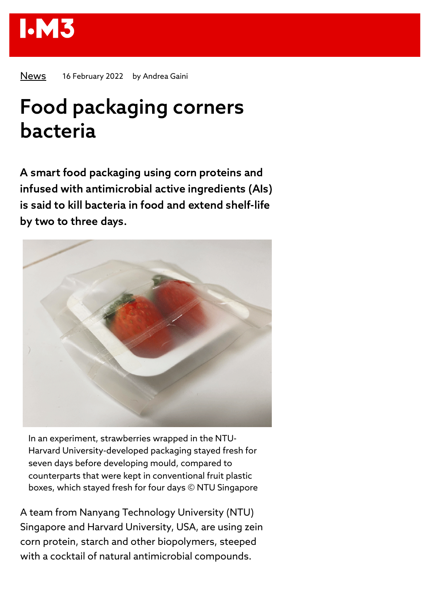

[News](https://www.iom3.org/resources/all-resources.html?information_type=news) 16 February 2022 by Andrea Gaini

## Food packaging corners bacteria

A smart food packaging using corn proteins and infused with antimicrobial active ingredients (AIs) is said to kill bacteria in food and extend shelf-life by two to three days.



In an experiment, strawberries wrapped in the NTU-Harvard University-developed packaging stayed fresh for seven days before developing mould, compared to counterparts that were kept in conventional fruit plastic boxes, which stayed fresh for four days © NTU Singapore

A team from Nanyang Technology University (NTU) Singapore and Harvard University, USA, are using zein corn protein, starch and other biopolymers, steeped with a cocktail of natural antimicrobial compounds.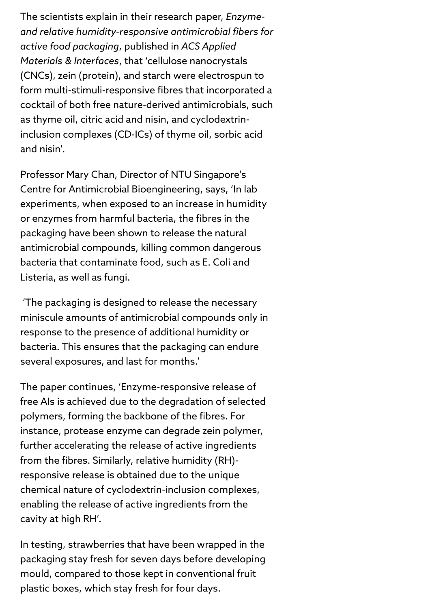The scientists explain in their research paper, *Enzymeand relative humidity-responsive antimicrobial fibers for active food packaging*, published in *ACS Applied Materials & Interfaces*, that 'cellulose nanocrystals (CNCs), zein (protein), and starch were electrospun to form multi-stimuli-responsive fibres that incorporated a cocktail of both free nature-derived antimicrobials, such as thyme oil, citric acid and nisin, and cyclodextrininclusion complexes (CD-ICs) of thyme oil, sorbic acid and nisin'.

Professor Mary Chan, Director of NTU Singapore's Centre for Antimicrobial Bioengineering, says, 'In lab experiments, when exposed to an increase in humidity or enzymes from harmful bacteria, the fibres in the packaging have been shown to release the natural antimicrobial compounds, killing common dangerous bacteria that contaminate food, such as E. Coli and Listeria, as well as fungi.

'The packaging is designed to release the necessary miniscule amounts of antimicrobial compounds only in response to the presence of additional humidity or bacteria. This ensures that the packaging can endure several exposures, and last for months.'

The paper continues, 'Enzyme-responsive release of free AIs is achieved due to the degradation of selected polymers, forming the backbone of the fibres. For instance, protease enzyme can degrade zein polymer, further accelerating the release of active ingredients from the fibres. Similarly, relative humidity (RH) responsive release is obtained due to the unique chemical nature of cyclodextrin-inclusion complexes, enabling the release of active ingredients from the cavity at high RH'.

In testing, strawberries that have been wrapped in the packaging stay fresh for seven days before developing mould, compared to those kept in conventional fruit plastic boxes, which stay fresh for four days.